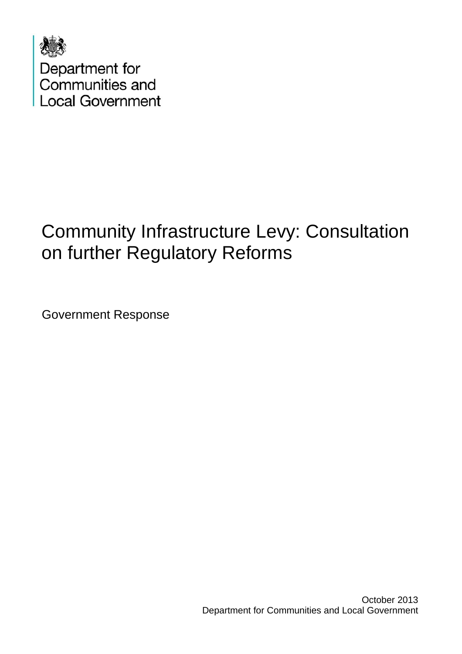

# Community Infrastructure Levy: Consultation on further Regulatory Reforms

Government Response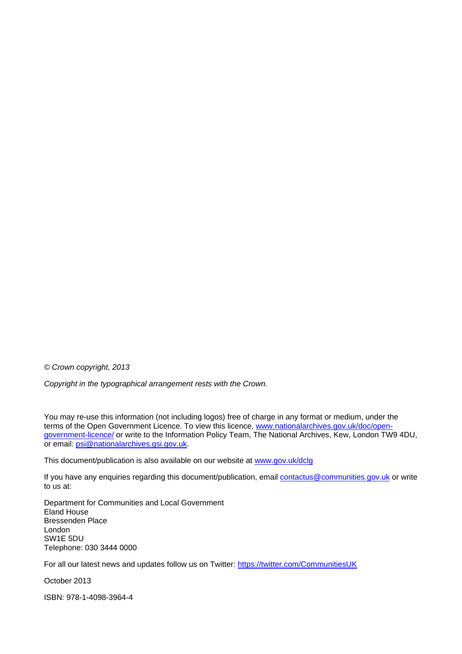*© Crown copyright, 2013* 

*Copyright in the typographical arrangement rests with the Crown.* 

You may re-use this information (not including logos) free of charge in any format or medium, under the terms of the Open Government Licence. To view this licence, [www.nationalarchives.gov.uk/doc/open](http://www.nationalarchives.gov.uk/doc/open-government-licence/)[government-licence/](http://www.nationalarchives.gov.uk/doc/open-government-licence/) or write to the Information Policy Team, The National Archives, Kew, London TW9 4DU, or email: [psi@nationalarchives.gsi.gov.uk.](mailto:psi@nationalarchives.gsi.gov.uk)

This document/publication is also available on our website at [www.gov.uk/dclg](http://www.gov.uk/dclg)

If you have any enquiries regarding this document/publication, email [contactus@communities.gov.uk](mailto:contactus@communities.gsi.gov.uk) or write to us at:

Department for Communities and Local Government Eland House Bressenden Place London SW1E 5DU Telephone: 030 3444 0000

For all our latest news and updates follow us on Twitter: https://twitter.com/CommunitiesUK

October 2013

ISBN: 978-1-4098-3964-4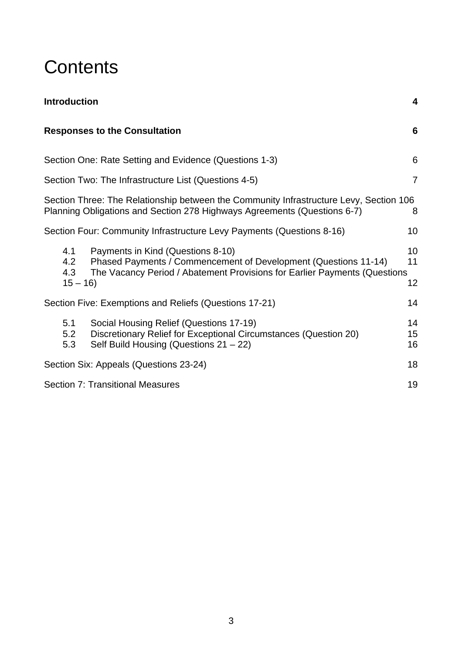# **Contents**

| <b>Introduction</b>                                                                                                                                                                                                 | 4              |
|---------------------------------------------------------------------------------------------------------------------------------------------------------------------------------------------------------------------|----------------|
| <b>Responses to the Consultation</b>                                                                                                                                                                                | 6              |
| Section One: Rate Setting and Evidence (Questions 1-3)                                                                                                                                                              | 6              |
| Section Two: The Infrastructure List (Questions 4-5)                                                                                                                                                                | $\overline{7}$ |
| Section Three: The Relationship between the Community Infrastructure Levy, Section 106<br>Planning Obligations and Section 278 Highways Agreements (Questions 6-7)                                                  | 8              |
| Section Four: Community Infrastructure Levy Payments (Questions 8-16)                                                                                                                                               | 10             |
| Payments in Kind (Questions 8-10)<br>4.1<br>4.2<br>Phased Payments / Commencement of Development (Questions 11-14)<br>The Vacancy Period / Abatement Provisions for Earlier Payments (Questions<br>4.3<br>$15 - 16$ | 10<br>11<br>12 |
| Section Five: Exemptions and Reliefs (Questions 17-21)                                                                                                                                                              | 14             |
| 5.1<br>Social Housing Relief (Questions 17-19)<br>5.2<br>Discretionary Relief for Exceptional Circumstances (Question 20)<br>Self Build Housing (Questions 21 - 22)<br>5.3                                          | 14<br>15<br>16 |
| Section Six: Appeals (Questions 23-24)                                                                                                                                                                              | 18             |
| <b>Section 7: Transitional Measures</b>                                                                                                                                                                             | 19             |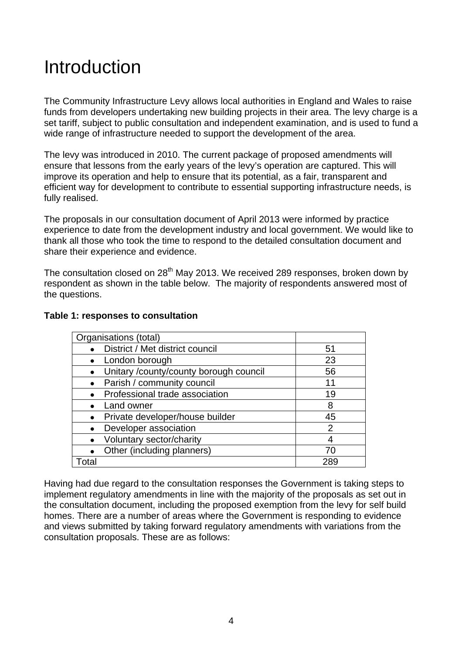# <span id="page-3-0"></span>Introduction

The Community Infrastructure Levy allows local authorities in England and Wales to raise funds from developers undertaking new building projects in their area. The levy charge is a set tariff, subject to public consultation and independent examination, and is used to fund a wide range of infrastructure needed to support the development of the area.

The levy was introduced in 2010. The current package of proposed amendments will ensure that lessons from the early years of the levy's operation are captured. This will improve its operation and help to ensure that its potential, as a fair, transparent and efficient way for development to contribute to essential supporting infrastructure needs, is fully realised.

The proposals in our consultation document of April 2013 were informed by practice experience to date from the development industry and local government. We would like to thank all those who took the time to respond to the detailed consultation document and share their experience and evidence.

The consultation closed on  $28<sup>th</sup>$  May 2013. We received 289 responses, broken down by respondent as shown in the table below. The majority of respondents answered most of the questions.

| Organisations (total)                  |               |
|----------------------------------------|---------------|
| District / Met district council        | 51            |
| London borough                         | 23            |
| Unitary /county/county borough council | 56            |
| Parish / community council             | 11            |
| Professional trade association         | 19            |
| Land owner                             | 8             |
| Private developer/house builder        | 45            |
| Developer association                  | $\mathcal{P}$ |
| Voluntary sector/charity               |               |
| Other (including planners)             |               |
| otal                                   |               |

#### **Table 1: responses to consultation**

Having had due regard to the consultation responses the Government is taking steps to implement regulatory amendments in line with the majority of the proposals as set out in the consultation document, including the proposed exemption from the levy for self build homes. There are a number of areas where the Government is responding to evidence and views submitted by taking forward regulatory amendments with variations from the consultation proposals. These are as follows: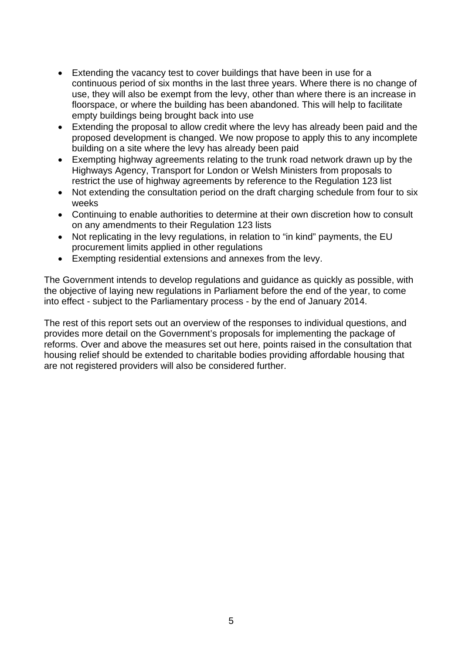- Extending the vacancy test to cover buildings that have been in use for a continuous period of six months in the last three years. Where there is no change of use, they will also be exempt from the levy, other than where there is an increase in floorspace, or where the building has been abandoned. This will help to facilitate empty buildings being brought back into use
- Extending the proposal to allow credit where the levy has already been paid and the proposed development is changed. We now propose to apply this to any incomplete building on a site where the levy has already been paid
- Exempting highway agreements relating to the trunk road network drawn up by the Highways Agency, Transport for London or Welsh Ministers from proposals to restrict the use of highway agreements by reference to the Regulation 123 list
- Not extending the consultation period on the draft charging schedule from four to six weeks
- Continuing to enable authorities to determine at their own discretion how to consult on any amendments to their Regulation 123 lists
- Not replicating in the levy regulations, in relation to "in kind" payments, the EU procurement limits applied in other regulations
- Exempting residential extensions and annexes from the levy.

The Government intends to develop regulations and guidance as quickly as possible, with the objective of laying new regulations in Parliament before the end of the year, to come into effect - subject to the Parliamentary process - by the end of January 2014.

The rest of this report sets out an overview of the responses to individual questions, and provides more detail on the Government's proposals for implementing the package of reforms. Over and above the measures set out here, points raised in the consultation that housing relief should be extended to charitable bodies providing affordable housing that are not registered providers will also be considered further.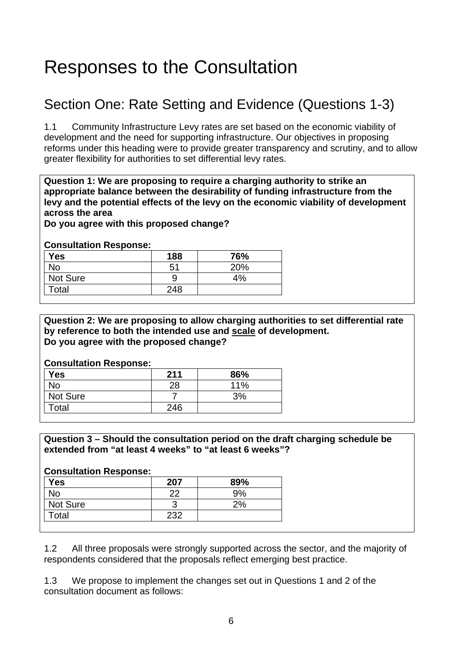# <span id="page-5-0"></span>Responses to the Consultation

## Section One: Rate Setting and Evidence (Questions 1-3)

1.1 Community Infrastructure Levy rates are set based on the economic viability of development and the need for supporting infrastructure. Our objectives in proposing reforms under this heading were to provide greater transparency and scrutiny, and to allow greater flexibility for authorities to set differential levy rates.

**Question 1: We are proposing to require a charging authority to strike an appropriate balance between the desirability of funding infrastructure from the levy and the potential effects of the levy on the economic viability of development across the area** 

**Do you agree with this proposed change?** 

#### **Consultation Response:**

| <b>Yes</b> | 188 | 76% |
|------------|-----|-----|
| No         | 51  | 20% |
| Not Sure   |     | 4%  |
| Total      | 248 |     |

#### **Question 2: We are proposing to allow charging authorities to set differential rate by reference to both the intended use and scale of development. Do you agree with the proposed change?**

#### **Consultation Response:**

| <b>Yes</b> | 211 | 86% |
|------------|-----|-----|
| No         | 28  | 11% |
| Not Sure   |     | 3%  |
| Total      | 246 |     |

#### **Question 3 – Should the consultation period on the draft charging schedule be extended from "at least 4 weeks" to "at least 6 weeks"?**

#### **Consultation Response:**

| <b>Yes</b> | 207 | 89% |
|------------|-----|-----|
| No         |     | 9%  |
| Not Sure   |     | 2%  |
| Total      | 232 |     |

1.2 All three proposals were strongly supported across the sector, and the majority of respondents considered that the proposals reflect emerging best practice.

1.3 We propose to implement the changes set out in Questions 1 and 2 of the consultation document as follows: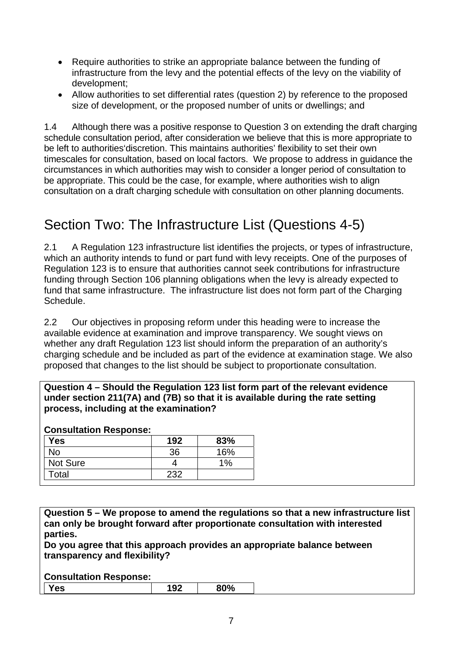- <span id="page-6-0"></span>• Require authorities to strike an appropriate balance between the funding of infrastructure from the levy and the potential effects of the levy on the viability of development;
- Allow authorities to set differential rates (question 2) by reference to the proposed size of development, or the proposed number of units or dwellings; and

1.4 Although there was a positive response to Question 3 on extending the draft charging schedule consultation period, after consideration we believe that this is more appropriate to be left to authorities'discretion. This maintains authorities' flexibility to set their own timescales for consultation, based on local factors. We propose to address in guidance the circumstances in which authorities may wish to consider a longer period of consultation to be appropriate. This could be the case, for example, where authorities wish to align consultation on a draft charging schedule with consultation on other planning documents.

## Section Two: The Infrastructure List (Questions 4-5)

2.1 A Regulation 123 infrastructure list identifies the projects, or types of infrastructure, which an authority intends to fund or part fund with levy receipts. One of the purposes of Regulation 123 is to ensure that authorities cannot seek contributions for infrastructure funding through Section 106 planning obligations when the levy is already expected to fund that same infrastructure. The infrastructure list does not form part of the Charging Schedule.

2.2 Our objectives in proposing reform under this heading were to increase the available evidence at examination and improve transparency. We sought views on whether any draft Regulation 123 list should inform the preparation of an authority's charging schedule and be included as part of the evidence at examination stage. We also proposed that changes to the list should be subject to proportionate consultation.

**Question 4 – Should the Regulation 123 list form part of the relevant evidence under section 211(7A) and (7B) so that it is available during the rate setting process, including at the examination?** 

#### **Consultation Response:**

| Yes             | 192 | 83%   |
|-----------------|-----|-------|
| No              | 36  | 16%   |
| <b>Not Sure</b> |     | $1\%$ |
| Total           | 232 |       |

**Question 5 – We propose to amend the regulations so that a new infrastructure list can only be brought forward after proportionate consultation with interested parties.** 

**Do you agree that this approach provides an appropriate balance between transparency and flexibility?** 

| <br>$\sim$<br>OV 70 |
|---------------------|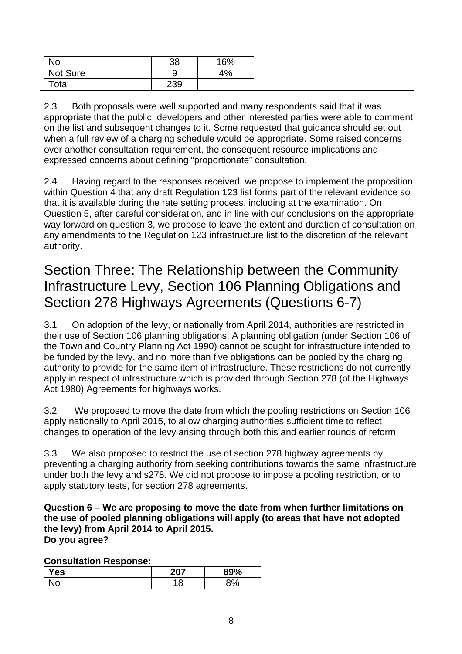<span id="page-7-0"></span>

| <b>No</b> | 38     | 16% |
|-----------|--------|-----|
| Not Sure  | -<br>ີ | 4%  |
| Total     | 239    |     |

2.3 Both proposals were well supported and many respondents said that it was appropriate that the public, developers and other interested parties were able to comment on the list and subsequent changes to it. Some requested that guidance should set out when a full review of a charging schedule would be appropriate. Some raised concerns over another consultation requirement, the consequent resource implications and expressed concerns about defining "proportionate" consultation.

2.4 Having regard to the responses received, we propose to implement the proposition within Question 4 that any draft Regulation 123 list forms part of the relevant evidence so that it is available during the rate setting process, including at the examination. On Question 5, after careful consideration, and in line with our conclusions on the appropriate way forward on question 3, we propose to leave the extent and duration of consultation on any amendments to the Regulation 123 infrastructure list to the discretion of the relevant authority.

## Section Three: The Relationship between the Community Infrastructure Levy, Section 106 Planning Obligations and Section 278 Highways Agreements (Questions 6-7)

3.1 On adoption of the levy, or nationally from April 2014, authorities are restricted in their use of Section 106 planning obligations. A planning obligation (under Section 106 of the Town and Country Planning Act 1990) cannot be sought for infrastructure intended to be funded by the levy, and no more than five obligations can be pooled by the charging authority to provide for the same item of infrastructure. These restrictions do not currently apply in respect of infrastructure which is provided through Section 278 (of the Highways Act 1980) Agreements for highways works.

3.2 We proposed to move the date from which the pooling restrictions on Section 106 apply nationally to April 2015, to allow charging authorities sufficient time to reflect changes to operation of the levy arising through both this and earlier rounds of reform.

3.3 We also proposed to restrict the use of section 278 highway agreements by preventing a charging authority from seeking contributions towards the same infrastructure under both the levy and s278. We did not propose to impose a pooling restriction, or to apply statutory tests, for section 278 agreements.

**Question 6 – We are proposing to move the date from when further limitations on the use of pooled planning obligations will apply (to areas that have not adopted the levy) from April 2014 to April 2015. Do you agree?** 

| <b>Ves</b>     | דחר<br>4V I | 89% |
|----------------|-------------|-----|
| $\sim$<br>. NU | 1 O<br>O    | 3%  |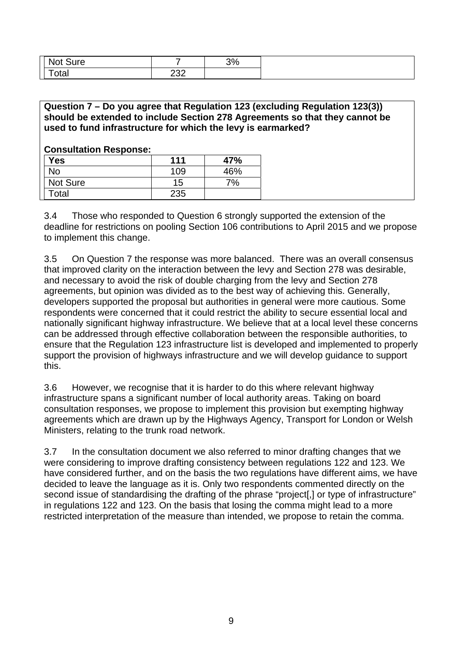| <b>Not</b><br>sure<br>$\sim$             |              | 3% |
|------------------------------------------|--------------|----|
| $\overline{\phantom{a}}$<br>ั∩t∩<br>υιαι | $\sim$<br>∼∽ |    |

#### **Question 7 – Do you agree that Regulation 123 (excluding Regulation 123(3)) should be extended to include Section 278 Agreements so that they cannot be used to fund infrastructure for which the levy is earmarked?**

#### **Consultation Response:**

| <b>Yes</b> | 111 | 47% |
|------------|-----|-----|
| No         | 109 | 46% |
| Not Sure   | 15  | 7%  |
| Total      | 235 |     |

3.4 Those who responded to Question 6 strongly supported the extension of the deadline for restrictions on pooling Section 106 contributions to April 2015 and we propose to implement this change.

3.5 On Question 7 the response was more balanced. There was an overall consensus that improved clarity on the interaction between the levy and Section 278 was desirable, and necessary to avoid the risk of double charging from the levy and Section 278 agreements, but opinion was divided as to the best way of achieving this. Generally, developers supported the proposal but authorities in general were more cautious. Some respondents were concerned that it could restrict the ability to secure essential local and nationally significant highway infrastructure. We believe that at a local level these concerns can be addressed through effective collaboration between the responsible authorities, to ensure that the Regulation 123 infrastructure list is developed and implemented to properly support the provision of highways infrastructure and we will develop guidance to support this.

3.6 However, we recognise that it is harder to do this where relevant highway infrastructure spans a significant number of local authority areas. Taking on board consultation responses, we propose to implement this provision but exempting highway agreements which are drawn up by the Highways Agency, Transport for London or Welsh Ministers, relating to the trunk road network.

3.7 In the consultation document we also referred to minor drafting changes that we were considering to improve drafting consistency between regulations 122 and 123. We have considered further, and on the basis the two regulations have different aims, we have decided to leave the language as it is. Only two respondents commented directly on the second issue of standardising the drafting of the phrase "project[,] or type of infrastructure" in regulations 122 and 123. On the basis that losing the comma might lead to a more restricted interpretation of the measure than intended, we propose to retain the comma.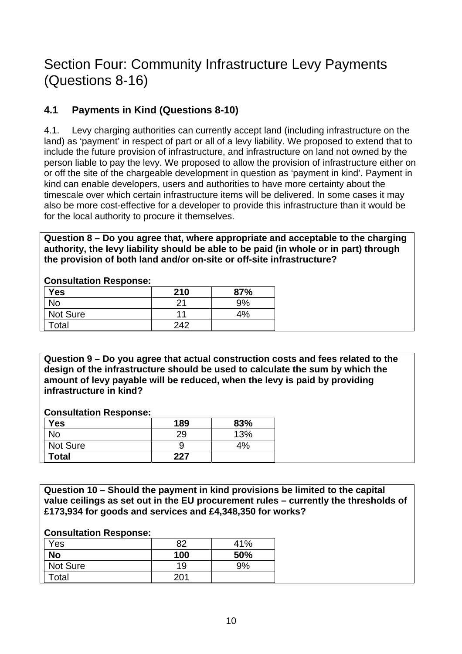## <span id="page-9-0"></span>Section Four: Community Infrastructure Levy Payments (Questions 8-16)

### **4.1 Payments in Kind (Questions 8-10)**

4.1. Levy charging authorities can currently accept land (including infrastructure on the land) as 'payment' in respect of part or all of a levy liability. We proposed to extend that to include the future provision of infrastructure, and infrastructure on land not owned by the person liable to pay the levy. We proposed to allow the provision of infrastructure either on or off the site of the chargeable development in question as 'payment in kind'. Payment in kind can enable developers, users and authorities to have more certainty about the timescale over which certain infrastructure items will be delivered. In some cases it may also be more cost-effective for a developer to provide this infrastructure than it would be for the local authority to procure it themselves.

**Question 8 – Do you agree that, where appropriate and acceptable to the charging authority, the levy liability should be able to be paid (in whole or in part) through the provision of both land and/or on-site or off-site infrastructure?** 

| Yes      | 210 | 87% |
|----------|-----|-----|
| J٥       | ົ   | 9%  |
| Not Sure |     | 4%  |
| Гоtal    | 242 |     |

#### **Consultation Response:**

**Question 9 – Do you agree that actual construction costs and fees related to the design of the infrastructure should be used to calculate the sum by which the amount of levy payable will be reduced, when the levy is paid by providing infrastructure in kind?** 

#### **Consultation Response:**

| <b>Yes</b>   | 189 | 83% |
|--------------|-----|-----|
| No           | 29  | 13% |
| Not Sure     |     | 4%  |
| <b>Total</b> | 227 |     |

**Question 10 – Should the payment in kind provisions be limited to the capital value ceilings as set out in the EU procurement rules – currently the thresholds of £173,934 for goods and services and £4,348,350 for works?** 

| Yes       | 82  | 41% |
|-----------|-----|-----|
| <b>No</b> | 100 | 50% |
| Not Sure  | 19  | 9%  |
| Total     | 201 |     |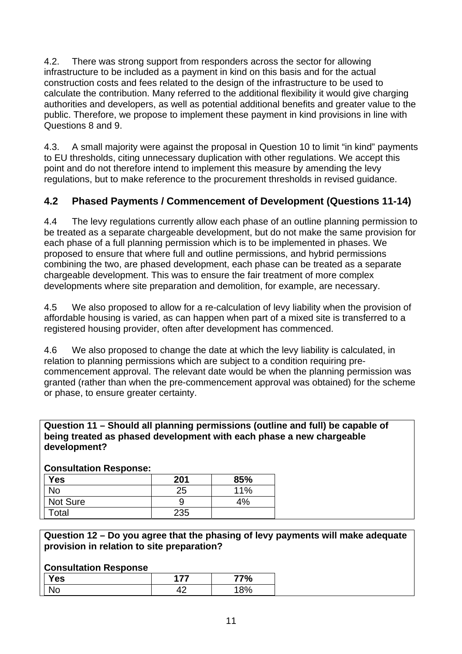<span id="page-10-0"></span>4.2. There was strong support from responders across the sector for allowing infrastructure to be included as a payment in kind on this basis and for the actual construction costs and fees related to the design of the infrastructure to be used to calculate the contribution. Many referred to the additional flexibility it would give charging authorities and developers, as well as potential additional benefits and greater value to the public. Therefore, we propose to implement these payment in kind provisions in line with Questions 8 and 9.

4.3. A small majority were against the proposal in Question 10 to limit "in kind" payments to EU thresholds, citing unnecessary duplication with other regulations. We accept this point and do not therefore intend to implement this measure by amending the levy regulations, but to make reference to the procurement thresholds in revised guidance.

### **4.2 Phased Payments / Commencement of Development (Questions 11-14)**

4.4 The levy regulations currently allow each phase of an outline planning permission to be treated as a separate chargeable development, but do not make the same provision for each phase of a full planning permission which is to be implemented in phases. We proposed to ensure that where full and outline permissions, and hybrid permissions combining the two, are phased development, each phase can be treated as a separate chargeable development. This was to ensure the fair treatment of more complex developments where site preparation and demolition, for example, are necessary.

4.5 We also proposed to allow for a re-calculation of levy liability when the provision of affordable housing is varied, as can happen when part of a mixed site is transferred to a registered housing provider, often after development has commenced.

4.6 We also proposed to change the date at which the levy liability is calculated, in relation to planning permissions which are subject to a condition requiring precommencement approval. The relevant date would be when the planning permission was granted (rather than when the pre-commencement approval was obtained) for the scheme or phase, to ensure greater certainty.

#### **Question 11 – Should all planning permissions (outline and full) be capable of being treated as phased development with each phase a new chargeable development?**

| <b>UUIISUILALIUII NESPUIISE.</b> |     |     |
|----------------------------------|-----|-----|
| <b>Yes</b>                       | 201 | 85% |
| No                               | 25  | 11% |
| Not Sure                         |     | 4%  |
| Гоtal                            | 235 |     |

#### **Consultation Response:**

**Question 12 – Do you agree that the phasing of levy payments will make adequate provision in relation to site preparation?** 

| Yes |    | $\%$ |
|-----|----|------|
| ٩U  | יי | 8%   |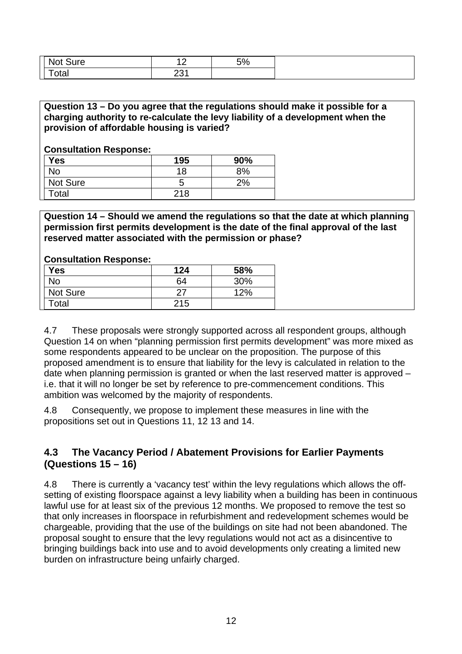<span id="page-11-0"></span>

| <b>Not</b><br>sure     | $\sqrt{2}$<br>$\cdot$ $\sim$ | 5% |
|------------------------|------------------------------|----|
| -<br>$\sim$ fo<br>Uldi | ດດ4<br>∠⊃ ।                  |    |

#### **Question 13 – Do you agree that the regulations should make it possible for a charging authority to re-calculate the levy liability of a development when the provision of affordable housing is varied?**

#### **Consultation Response:**

| <b>Yes</b> | 195 | 90% |
|------------|-----|-----|
| <b>No</b>  | 18  | 8%  |
| Not Sure   | O   | 2%  |
| Total      | 218 |     |

**Question 14 – Should we amend the regulations so that the date at which planning permission first permits development is the date of the final approval of the last reserved matter associated with the permission or phase?** 

#### **Consultation Response:**

| <b>Yes</b> | 124 | 58% |
|------------|-----|-----|
| No         | 64  | 30% |
| Not Sure   |     | 12% |
| Total      | 215 |     |

4.7 These proposals were strongly supported across all respondent groups, although Question 14 on when "planning permission first permits development" was more mixed as some respondents appeared to be unclear on the proposition. The purpose of this proposed amendment is to ensure that liability for the levy is calculated in relation to the date when planning permission is granted or when the last reserved matter is approved – i.e. that it will no longer be set by reference to pre-commencement conditions. This ambition was welcomed by the majority of respondents.

4.8 Consequently, we propose to implement these measures in line with the propositions set out in Questions 11, 12 13 and 14.

#### **4.3 The Vacancy Period / Abatement Provisions for Earlier Payments (Questions 15 – 16)**

4.8 There is currently a 'vacancy test' within the levy regulations which allows the offsetting of existing floorspace against a levy liability when a building has been in continuous lawful use for at least six of the previous 12 months. We proposed to remove the test so that only increases in floorspace in refurbishment and redevelopment schemes would be chargeable, providing that the use of the buildings on site had not been abandoned. The proposal sought to ensure that the levy regulations would not act as a disincentive to bringing buildings back into use and to avoid developments only creating a limited new burden on infrastructure being unfairly charged.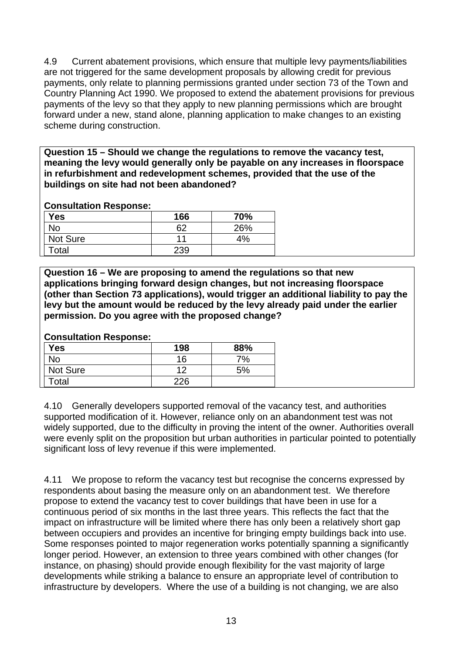4.9 Current abatement provisions, which ensure that multiple levy payments/liabilities are not triggered for the same development proposals by allowing credit for previous payments, only relate to planning permissions granted under section 73 of the Town and Country Planning Act 1990. We proposed to extend the abatement provisions for previous payments of the levy so that they apply to new planning permissions which are brought forward under a new, stand alone, planning application to make changes to an existing scheme during construction.

**Question 15 – Should we change the regulations to remove the vacancy test, meaning the levy would generally only be payable on any increases in floorspace in refurbishment and redevelopment schemes, provided that the use of the buildings on site had not been abandoned?** 

#### **Consultation Response:**

| <b>Yes</b>      | 166 | 70% |
|-----------------|-----|-----|
| No              | 62  | 26% |
| <b>Not Sure</b> | 11  | 4%  |
| Total           | 239 |     |

**Question 16 – We are proposing to amend the regulations so that new applications bringing forward design changes, but not increasing floorspace (other than Section 73 applications), would trigger an additional liability to pay the levy but the amount would be reduced by the levy already paid under the earlier permission. Do you agree with the proposed change?** 

**Consultation Response:** 

| Yes      | 198 | 88% |
|----------|-----|-----|
| No       | 16  | 7%  |
| Not Sure | 12  | 5%  |
| Total    | 226 |     |

4.10 Generally developers supported removal of the vacancy test, and authorities supported modification of it. However, reliance only on an abandonment test was not widely supported, due to the difficulty in proving the intent of the owner. Authorities overall were evenly split on the proposition but urban authorities in particular pointed to potentially significant loss of levy revenue if this were implemented.

4.11 We propose to reform the vacancy test but recognise the concerns expressed by respondents about basing the measure only on an abandonment test. We therefore propose to extend the vacancy test to cover buildings that have been in use for a continuous period of six months in the last three years. This reflects the fact that the impact on infrastructure will be limited where there has only been a relatively short gap between occupiers and provides an incentive for bringing empty buildings back into use. Some responses pointed to major regeneration works potentially spanning a significantly longer period. However, an extension to three years combined with other changes (for instance, on phasing) should provide enough flexibility for the vast majority of large developments while striking a balance to ensure an appropriate level of contribution to infrastructure by developers. Where the use of a building is not changing, we are also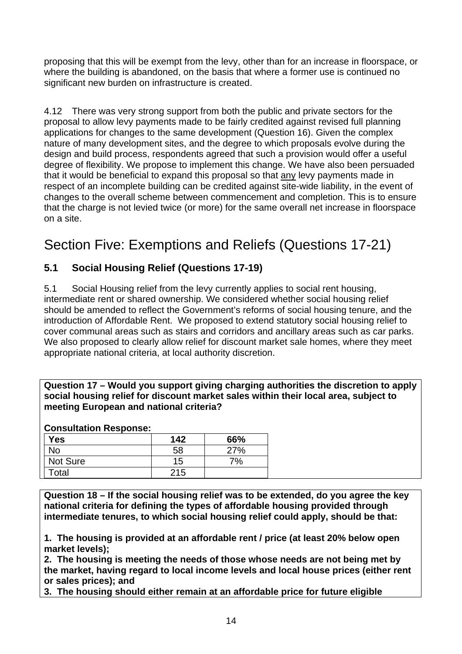<span id="page-13-0"></span>proposing that this will be exempt from the levy, other than for an increase in floorspace, or where the building is abandoned, on the basis that where a former use is continued no significant new burden on infrastructure is created.

4.12 There was very strong support from both the public and private sectors for the proposal to allow levy payments made to be fairly credited against revised full planning applications for changes to the same development (Question 16). Given the complex nature of many development sites, and the degree to which proposals evolve during the design and build process, respondents agreed that such a provision would offer a useful degree of flexibility. We propose to implement this change. We have also been persuaded that it would be beneficial to expand this proposal so that any levy payments made in respect of an incomplete building can be credited against site-wide liability, in the event of changes to the overall scheme between commencement and completion. This is to ensure that the charge is not levied twice (or more) for the same overall net increase in floorspace on a site.

# Section Five: Exemptions and Reliefs (Questions 17-21)

### **5.1 Social Housing Relief (Questions 17-19)**

5.1 Social Housing relief from the levy currently applies to social rent housing, intermediate rent or shared ownership. We considered whether social housing relief should be amended to reflect the Government's reforms of social housing tenure, and the introduction of Affordable Rent. We proposed to extend statutory social housing relief to cover communal areas such as stairs and corridors and ancillary areas such as car parks. We also proposed to clearly allow relief for discount market sale homes, where they meet appropriate national criteria, at local authority discretion.

**Question 17 – Would you support giving charging authorities the discretion to apply social housing relief for discount market sales within their local area, subject to meeting European and national criteria?** 

#### **Consultation Response:**

| <b>Yes</b> | 142 | 66% |
|------------|-----|-----|
| No         | 58  | 27% |
| Not Sure   | 15  | 7%  |
| Total      | 215 |     |

**Question 18 – If the social housing relief was to be extended, do you agree the key national criteria for defining the types of affordable housing provided through intermediate tenures, to which social housing relief could apply, should be that:** 

**1. The housing is provided at an affordable rent / price (at least 20% below open market levels);** 

**2. The housing is meeting the needs of those whose needs are not being met by the market, having regard to local income levels and local house prices (either rent or sales prices); and** 

**3. The housing should either remain at an affordable price for future eligible**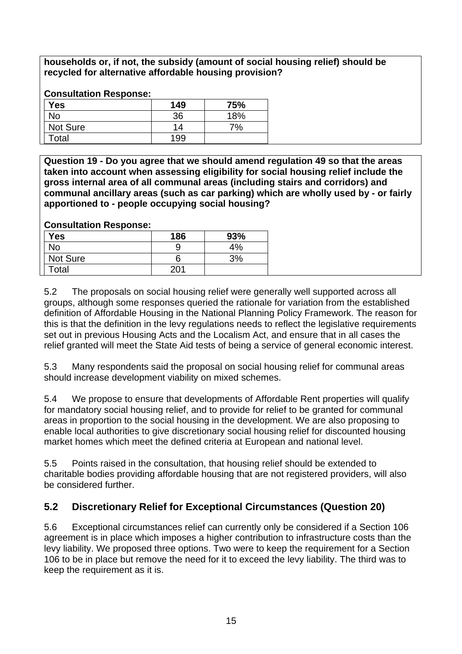<span id="page-14-0"></span>**households or, if not, the subsidy (amount of social housing relief) should be recycled for alternative affordable housing provision?** 

#### **Consultation Response:**

| <b>Yes</b>      | 149 | 75% |
|-----------------|-----|-----|
| No              | 36  | 18% |
| <b>Not Sure</b> | 14  | 7%  |
| Total           | 199 |     |

**Question 19 - Do you agree that we should amend regulation 49 so that the areas taken into account when assessing eligibility for social housing relief include the gross internal area of all communal areas (including stairs and corridors) and communal ancillary areas (such as car parking) which are wholly used by - or fairly apportioned to - people occupying social housing?** 

#### **Consultation Response:**

| <b>Yes</b> | 186 | 93% |
|------------|-----|-----|
| No         |     | 4%  |
| Not Sure   | O   | 3%  |
| Total      | 201 |     |

5.2 The proposals on social housing relief were generally well supported across all groups, although some responses queried the rationale for variation from the established definition of Affordable Housing in the National Planning Policy Framework. The reason for this is that the definition in the levy regulations needs to reflect the legislative requirements set out in previous Housing Acts and the Localism Act, and ensure that in all cases the relief granted will meet the State Aid tests of being a service of general economic interest.

5.3 Many respondents said the proposal on social housing relief for communal areas should increase development viability on mixed schemes.

5.4 We propose to ensure that developments of Affordable Rent properties will qualify for mandatory social housing relief, and to provide for relief to be granted for communal areas in proportion to the social housing in the development. We are also proposing to enable local authorities to give discretionary social housing relief for discounted housing market homes which meet the defined criteria at European and national level.

5.5 Points raised in the consultation, that housing relief should be extended to charitable bodies providing affordable housing that are not registered providers, will also be considered further.

### **5.2 Discretionary Relief for Exceptional Circumstances (Question 20)**

5.6 Exceptional circumstances relief can currently only be considered if a Section 106 agreement is in place which imposes a higher contribution to infrastructure costs than the levy liability. We proposed three options. Two were to keep the requirement for a Section 106 to be in place but remove the need for it to exceed the levy liability. The third was to keep the requirement as it is.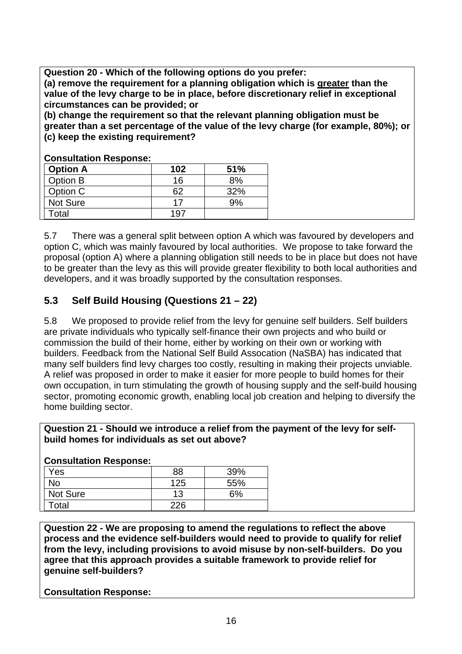<span id="page-15-0"></span>**Question 20 - Which of the following options do you prefer:** 

**(a) remove the requirement for a planning obligation which is greater than the value of the levy charge to be in place, before discretionary relief in exceptional circumstances can be provided; or** 

**(b) change the requirement so that the relevant planning obligation must be greater than a set percentage of the value of the levy charge (for example, 80%); or (c) keep the existing requirement?** 

| <b>Option A</b> | 102 | 51% |  |
|-----------------|-----|-----|--|
| Option B        | 16  | 8%  |  |
| Option C        | 62  | 32% |  |
| Not Sure        |     | 9%  |  |
| Гоtal           | 19. |     |  |

**Consultation Response:** 

5.7 There was a general split between option A which was favoured by developers and option C, which was mainly favoured by local authorities. We propose to take forward the proposal (option A) where a planning obligation still needs to be in place but does not have to be greater than the levy as this will provide greater flexibility to both local authorities and developers, and it was broadly supported by the consultation responses.

### **5.3 Self Build Housing (Questions 21 – 22)**

5.8 We proposed to provide relief from the levy for genuine self builders. Self builders are private individuals who typically self-finance their own projects and who build or commission the build of their home, either by working on their own or working with builders. Feedback from the National Self Build Assocation (NaSBA) has indicated that many self builders find levy charges too costly, resulting in making their projects unviable. A relief was proposed in order to make it easier for more people to build homes for their own occupation, in turn stimulating the growth of housing supply and the self-build housing sector, promoting economic growth, enabling local job creation and helping to diversify the home building sector.

#### **Question 21 - Should we introduce a relief from the payment of the levy for selfbuild homes for individuals as set out above?**

| Consultation Response: |     |     |  |
|------------------------|-----|-----|--|
| Yes                    | 88  | 39% |  |
| No                     | 125 | 55% |  |
| <b>Not Sure</b>        | 13  | 5%  |  |
| Total                  | 226 |     |  |

#### **Consultation Response:**

**Question 22 - We are proposing to amend the regulations to reflect the above process and the evidence self-builders would need to provide to qualify for relief from the levy, including provisions to avoid misuse by non-self-builders. Do you agree that this approach provides a suitable framework to provide relief for genuine self-builders?**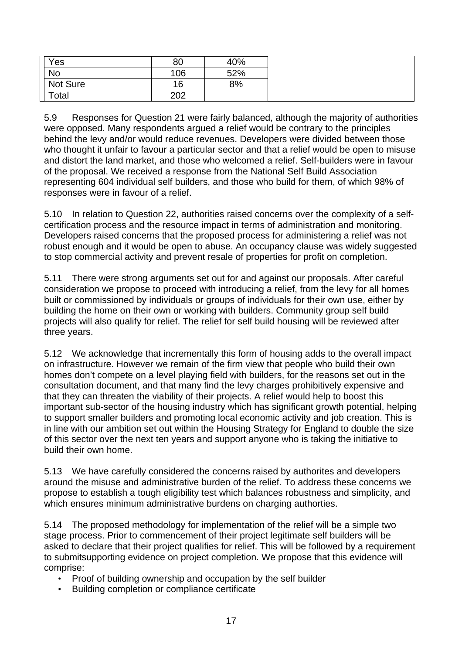| Yes       | 80  | 40% |
|-----------|-----|-----|
| <b>No</b> | 106 | 52% |
| Not Sure  | 16  | 8%  |
| Total     | 202 |     |

5.9 Responses for Question 21 were fairly balanced, although the majority of authorities were opposed. Many respondents argued a relief would be contrary to the principles behind the levy and/or would reduce revenues. Developers were divided between those who thought it unfair to favour a particular sector and that a relief would be open to misuse and distort the land market, and those who welcomed a relief. Self-builders were in favour of the proposal. We received a response from the National Self Build Association representing 604 individual self builders, and those who build for them, of which 98% of responses were in favour of a relief.

5.10 In relation to Question 22, authorities raised concerns over the complexity of a selfcertification process and the resource impact in terms of administration and monitoring. Developers raised concerns that the proposed process for administering a relief was not robust enough and it would be open to abuse. An occupancy clause was widely suggested to stop commercial activity and prevent resale of properties for profit on completion.

5.11 There were strong arguments set out for and against our proposals. After careful consideration we propose to proceed with introducing a relief, from the levy for all homes built or commissioned by individuals or groups of individuals for their own use, either by building the home on their own or working with builders. Community group self build projects will also qualify for relief. The relief for self build housing will be reviewed after three years.

5.12 We acknowledge that incrementally this form of housing adds to the overall impact on infrastructure. However we remain of the firm view that people who build their own homes don't compete on a level playing field with builders, for the reasons set out in the consultation document, and that many find the levy charges prohibitively expensive and that they can threaten the viability of their projects. A relief would help to boost this important sub-sector of the housing industry which has significant growth potential, helping to support smaller builders and promoting local economic activity and job creation. This is in line with our ambition set out within the Housing Strategy for England to double the size of this sector over the next ten years and support anyone who is taking the initiative to build their own home.

5.13 We have carefully considered the concerns raised by authorites and developers around the misuse and administrative burden of the relief. To address these concerns we propose to establish a tough eligibility test which balances robustness and simplicity, and which ensures minimum administrative burdens on charging authorties.

5.14 The proposed methodology for implementation of the relief will be a simple two stage process. Prior to commencement of their project legitimate self builders will be asked to declare that their project qualifies for relief. This will be followed by a requirement to submitsupporting evidence on project completion. We propose that this evidence will comprise:

- Proof of building ownership and occupation by the self builder
- Building completion or compliance certificate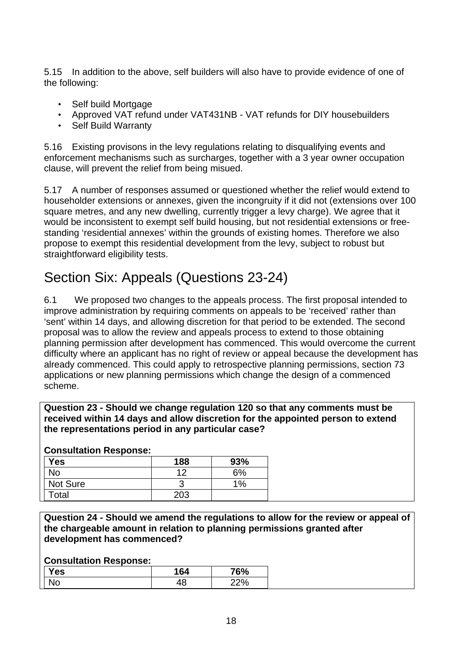<span id="page-17-0"></span>5.15 In addition to the above, self builders will also have to provide evidence of one of the following:

- Self build Mortgage
- Approved VAT refund under VAT431NB VAT refunds for DIY housebuilders
- Self Build Warranty

5.16 Existing provisons in the levy regulations relating to disqualifying events and enforcement mechanisms such as surcharges, together with a 3 year owner occupation clause, will prevent the relief from being misued.

5.17 A number of responses assumed or questioned whether the relief would extend to householder extensions or annexes, given the incongruity if it did not (extensions over 100 square metres, and any new dwelling, currently trigger a levy charge). We agree that it would be inconsistent to exempt self build housing, but not residential extensions or freestanding 'residential annexes' within the grounds of existing homes. Therefore we also propose to exempt this residential development from the levy, subject to robust but straightforward eligibility tests.

# Section Six: Appeals (Questions 23-24)

6.1 We proposed two changes to the appeals process. The first proposal intended to improve administration by requiring comments on appeals to be 'received' rather than 'sent' within 14 days, and allowing discretion for that period to be extended. The second proposal was to allow the review and appeals process to extend to those obtaining planning permission after development has commenced. This would overcome the current difficulty where an applicant has no right of review or appeal because the development has already commenced. This could apply to retrospective planning permissions, section 73 applications or new planning permissions which change the design of a commenced scheme.

**Question 23 - Should we change regulation 120 so that any comments must be received within 14 days and allow discretion for the appointed person to extend the representations period in any particular case?** 

#### **Consultation Response:**

| <b>Yes</b>      | 188 | 93%   |
|-----------------|-----|-------|
| No              | 12  | 6%    |
| <b>Not Sure</b> | о   | $1\%$ |
| Total           | 203 |       |

**Question 24 - Should we amend the regulations to allow for the review or appeal of the chargeable amount in relation to planning permissions granted after development has commenced?** 

| Yes | 164       | 76% |
|-----|-----------|-----|
| N٥  | 10.<br>ŧО | 22% |